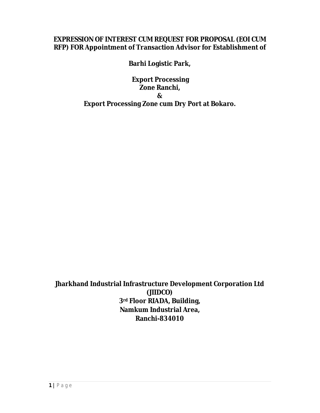## **EXPRESSION OF INTEREST CUM REQUEST FOR PROPOSAL (EOI CUM RFP) FOR Appointment of Transaction Advisor for Establishment of**

**Barhi Logistic Park,**

**Export Processing Zone Ranchi, & Export Processing Zone cum Dry Port at Bokaro.**

**Jharkhand Industrial Infrastructure Development Corporation Ltd (JIIDCO) 3rd Floor RIADA, Building, Namkum Industrial Area, Ranchi-834010**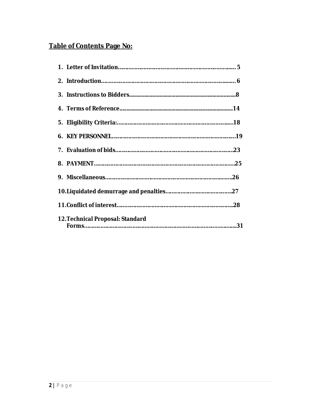# **Table of Contents Page No:**

| 12. Technical Proposal: Standard |  |
|----------------------------------|--|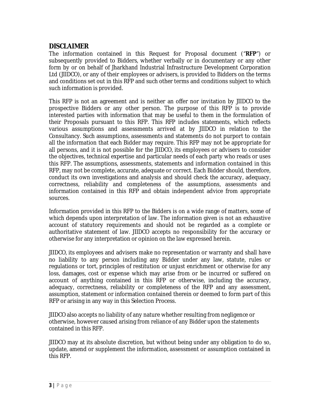## **DISCLAIMER**

The information contained in this Request for Proposal document ("**RFP**") or subsequently provided to Bidders, whether verbally or in documentary or any other form by or on behalf of Jharkhand Industrial Infrastructure Development Corporation Ltd (JIIDCO), or any of their employees or advisers, is provided to Bidders on the terms and conditions set out in this RFP and such other terms and conditions subject to which such information is provided.

This RFP is not an agreement and is neither an offer nor invitation by JIIDCO to the prospective Bidders or any other person. The purpose of this RFP is to provide interested parties with information that may be useful to them in the formulation of their Proposals pursuant to this RFP. This RFP includes statements, which reflects various assumptions and assessments arrived at by JIIDCO in relation to the Consultancy. Such assumptions, assessments and statements do not purport to contain all the information that each Bidder may require. This RFP may not be appropriate for all persons, and it is not possible for the JIIDCO, its employees or advisers to consider the objectives, technical expertise and particular needs of each party who reads or uses this RFP. The assumptions, assessments, statements and information contained in this RFP, may not be complete, accurate, adequate or correct. Each Bidder should, therefore, conduct its own investigations and analysis and should check the accuracy, adequacy, correctness, reliability and completeness of the assumptions, assessments and information contained in this RFP and obtain independent advice from appropriate sources.

Information provided in this RFP to the Bidders is on a wide range of matters, some of which depends upon interpretation of law. The information given is not an exhaustive account of statutory requirements and should not be regarded as a complete or authoritative statement of law. JIIDCO accepts no responsibility for the accuracy or otherwise for any interpretation or opinion on the law expressed herein.

JIIDCO, its employees and advisers make no representation or warranty and shall have no liability to any person including any Bidder under any law, statute, rules or regulations or tort, principles of restitution or unjust enrichment or otherwise for any loss, damages, cost or expense which may arise from or be incurred or suffered on account of anything contained in this RFP or otherwise, including the accuracy, adequacy, correctness, reliability or completeness of the RFP and any assessment, assumption, statement or information contained therein or deemed to form part of this RFP or arising in any way in this Selection Process.

JIIDCO also accepts no liability of any nature whether resulting from negligence or otherwise, however caused arising from reliance of any Bidder upon the statements contained in this RFP.

JIIDCO may at its absolute discretion, but without being under any obligation to do so, update, amend or supplement the information, assessment or assumption contained in this RFP.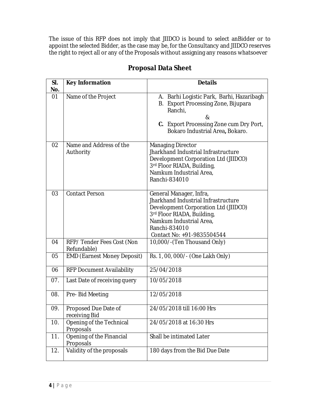The issue of this RFP does not imply that JIIDCO is bound to select anBidder or to appoint the selected Bidder, as the case may be, for the Consultancy and JIIDCO reserves the right to reject all or any of the Proposals without assigning any reasons whatsoever

| SI.<br>No. | <b>Key Information</b>                   | <b>Details</b>                                                                                                                                                                                                 |
|------------|------------------------------------------|----------------------------------------------------------------------------------------------------------------------------------------------------------------------------------------------------------------|
| 01         | Name of the Project                      | A. Barhi Logistic Park, Barhi, Hazaribagh<br>B. Export Processing Zone, Bijupara<br>Ranchi,<br>&<br>C. Export Processing Zone cum Dry Port,<br>Bokaro Industrial Area, Bokaro.                                 |
| 02         | Name and Address of the<br>Authority     | <b>Managing Director</b><br>Jharkhand Industrial Infrastructure<br>Development Corporation Ltd (JIIDCO)<br>3rd Floor RIADA, Building,<br>Namkum Industrial Area,<br>Ranchi-834010                              |
| 03         | <b>Contact Person</b>                    | General Manager, Infra,<br>Jharkhand Industrial Infrastructure<br>Development Corporation Ltd (JIIDCO)<br>3rd Floor RIADA, Building,<br>Namkum Industrial Area.<br>Ranchi-834010<br>Contact No: +91-9835504544 |
| 04         | RFP/Tender Fees Cost (Non<br>Refundable) | 10,000/-(Ten Thousand Only)                                                                                                                                                                                    |
| 05         | <b>EMD (Earnest Money Deposit)</b>       | Rs. 1, 00, 000/- (One Lakh Only)                                                                                                                                                                               |
| 06         | <b>RFP Document Availability</b>         | 25/04/2018                                                                                                                                                                                                     |
| 07.        | Last Date of receiving query             | 10/05/2018                                                                                                                                                                                                     |
| 08.        | Pre-Bid Meeting                          | 12/05/2018                                                                                                                                                                                                     |
| 09.        | Proposed Due Date of<br>receiving Bid    | 24/05/2018 till 16:00 Hrs                                                                                                                                                                                      |
| 10.        | Opening of the Technical<br>Proposals    | 24/05/2018 at 16:30 Hrs                                                                                                                                                                                        |
| 11.        | Opening of the Financial<br>Proposals    | Shall be intimated Later                                                                                                                                                                                       |
| 12.        | Validity of the proposals                | 180 days from the Bid Due Date                                                                                                                                                                                 |

## **Proposal Data Sheet**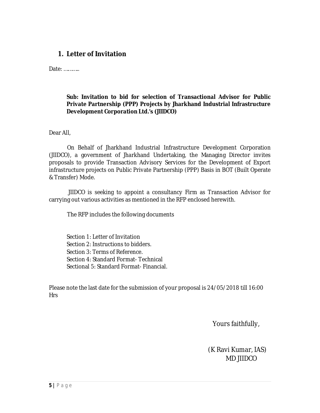## **1. Letter of Invitation**

Date: ………..

## **Sub: Invitation to bid for selection of Transactional Advisor for Public Private Partnership (PPP) Projects by Jharkhand Industrial Infrastructure Development Corporation Ltd.'s (JIIDCO)**

Dear All,

 On Behalf of Jharkhand Industrial Infrastructure Development Corporation (JIIDCO), a government of Jharkhand Undertaking, the Managing Director invites proposals to provide Transaction Advisory Services for the Development of Export infrastructure projects on Public Private Partnership (PPP) Basis in BOT (Built Operate & Transfer) Mode.

 JIIDCO is seeking to appoint a consultancy Firm as Transaction Advisor for carrying out various activities as mentioned in the RFP enclosed herewith.

The RFP includes the following documents

Section 1: Letter of Invitation Section 2: Instructions to bidders. Section 3: Terms of Reference. Section 4: Standard Format- Technical Sectional 5: Standard Format- Financial.

Please note the last date for the submission of your proposal is 24/05/2018 till 16:00 Hrs

Yours faithfully,

(K Ravi Kumar, IAS) MD JIIDCO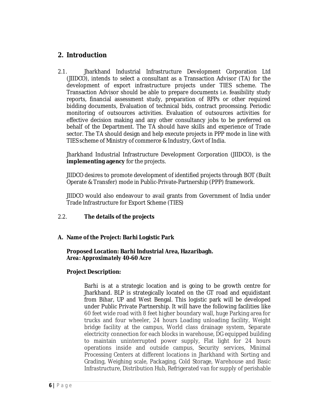## **2. Introduction**

2.1. Jharkhand Industrial Infrastructure Development Corporation Ltd (JIIDCO), intends to select a consultant as a Transaction Advisor (TA) for the development of export infrastructure projects under TIES scheme. The Transaction Advisor should be able to prepare documents i.e. feasibility study reports, financial assessment study, preparation of RFPs or other required bidding documents, Evaluation of technical bids, contract processing. Periodic monitoring of outsources activities. Evaluation of outsources activities for effective decision making and any other consultancy jobs to be preferred on behalf of the Department. The TA should have skills and experience of Trade sector. The TA should design and help execute projects in PPP mode in line with TIES scheme of Ministry of commerce & Industry, Govt of India.

Jharkhand Industrial Infrastructure Development Corporation (JIIDCO), is the **implementing agency** for the projects.

JIIDCO desires to promote development of identified projects through BOT (Built Operate & Transfer) mode in Public-Private-Partnership (PPP) framework.

JIIDCO would also endeavour to avail grants from Government of India under Trade Infrastructure for Export Scheme (TIES)

## 2.2. **The details of the projects**

## **A. Name of the Project: Barhi Logistic Park**

**Proposed Location: Barhi Industrial Area, Hazaribagh.** *Area: Approximately 40-60 Acre*

## **Project Description:**

Barhi is at a strategic location and is going to be growth centre for Jharkhand. BLP is strategically located on the GT road and equidistant from Bihar, UP and West Bengal. This logistic park will be developed under Public Private Partnership. It will have the following facilities like 60 feet wide road with 8 feet higher boundary wall, huge Parking area for trucks and four wheeler, 24 hours Loading unloading facility, Weight bridge facility at the campus, World class drainage system, Separate electricity connection for each blocks in warehouse, DG equipped building to maintain uninterrupted power supply, Flat light for 24 hours operations inside and outside campus, Security services, Minimal Processing Centers at different locations in Jharkhand with Sorting and Grading, Weighing scale, Packaging, Cold Storage, Warehouse and Basic Infrastructure, Distribution Hub, Refrigerated van for supply of perishable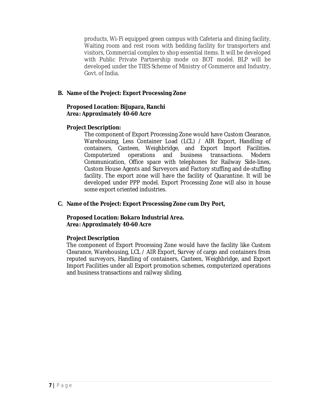products, Wi-Fi equipped green campus with Cafeteria and dining facility, Waiting room and rest room with bedding facility for transporters and visitors, Commercial complex to shop essential items. It will be developed with Public Private Partnership mode on BOT model. BLP will be developed under the TIES Scheme of Ministry of Commerce and Industry, Govt. of India.

## **B. Name of the Project: Export Processing Zone**

## **Proposed Location: Bijupara, Ranchi** *Area: Approximately 40-60 Acre*

## **Project Description:**

The component of Export Processing Zone would have Custom Clearance, Warehousing, Less Container Load (LCL) / AIR Export, Handling of containers, Canteen, Weighbridge, and Export Import Facilities. Computerized operations and business transactions. Modern Communication, Office space with telephones for Railway Side-lines, Custom House Agents and Surveyors and Factory stuffing and de-stuffing facility. The export zone will have the facility of Quarantine. It will be developed under PPP model. Export Processing Zone will also in house some export oriented industries.

## **C. Name of the Project: Export Processing Zone cum Dry Port,**

#### **Proposed Location: Bokaro Industrial Area.** *Area: Approximately 40-60 Acre*

## **Project Description**

The component of Export Processing Zone would have the facility like Custom Clearance, Warehousing, LCL / AIR Export, Survey of cargo and containers from reputed surveyors, Handling of containers, Canteen, Weighbridge, and Export Import Facilities under all Export promotion schemes, computerized operations and business transactions and railway sliding.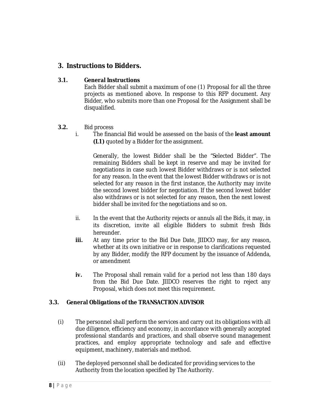## **3. Instructions to Bidders.**

## **3.1. General Instructions**

Each Bidder shall submit a maximum of one (1) Proposal for all the three projects as mentioned above. In response to this RFP document. Any Bidder, who submits more than one Proposal for the Assignment shall be disqualified.

## **3.2.** Bid process

i. The financial Bid would be assessed on the basis of the **least amount (L1)** quoted by a Bidder for the assignment.

Generally, the lowest Bidder shall be the "Selected Bidder". The remaining Bidders shall be kept in reserve and may be invited for negotiations in case such lowest Bidder withdraws or is not selected for any reason. In the event that the lowest Bidder withdraws or is not selected for any reason in the first instance, the Authority may invite the second lowest bidder for negotiation. If the second lowest bidder also withdraws or is not selected for any reason, then the next lowest bidder shall be invited for the negotiations and so on.

- ii. In the event that the Authority rejects or annuls all the Bids, it may, in its discretion, invite all eligible Bidders to submit fresh Bids hereunder.
- **iii.** At any time prior to the Bid Due Date, JIIDCO may, for any reason, whether at its own initiative or in response to clarifications requested by any Bidder, modify the RFP document by the issuance of Addenda, or amendment
- **iv.** The Proposal shall remain valid for a period not less than 180 days from the Bid Due Date. JIIDCO reserves the right to reject any Proposal, which does not meet this requirement.

## **3.3. General Obligations of the TRANSACTION ADVISOR**

- (i) The personnel shall perform the services and carry out its obligations with all due diligence, efficiency and economy, in accordance with generally accepted professional standards and practices, and shall observe sound management practices, and employ appropriate technology and safe and effective equipment, machinery, materials and method.
- (ii) The deployed personnel shall be dedicated for providing services to the Authority from the location specified by The Authority.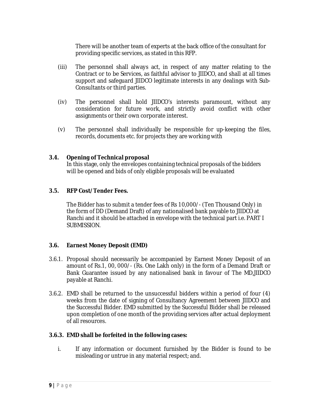There will be another team of experts at the back office of the consultant for providing specific services, as stated in this RFP.

- (iii) The personnel shall always act, in respect of any matter relating to the Contract or to be Services, as faithful advisor to JIIDCO, and shall at all times support and safeguard JIIDCO legitimate interests in any dealings with Sub-Consultants or third parties.
- (iv) The personnel shall hold JIIDCO's interests paramount, without any consideration for future work, and strictly avoid conflict with other assignments or their own corporate interest.
- (v) The personnel shall individually be responsible for up-keeping the files, records, documents etc. for projects they are working with

## **3.4. Opening of Technical proposal**

In this stage, only the envelopes containing technical proposals of the bidders will be opened and bids of only eligible proposals will be evaluated

## **3.5. RFP Cost/Tender Fees.**

The Bidder has to submit a tender fees of Rs 10,000/- (Ten Thousand Only) in the form of DD (Demand Draft) of any nationalised bank payable to JIIDCO at Ranchi and it should be attached in envelope with the technical part i.e. PART I SUBMISSION.

## **3.6. Earnest Money Deposit (EMD)**

- 3.6.1. Proposal should necessarily be accompanied by Earnest Money Deposit of an amount of Rs.1, 00, 000/- (Rs. One Lakh only) in the form of a Demand Draft or Bank Guarantee issued by any nationalised bank in favour of The MD,JIIDCO payable at Ranchi.
- 3.6.2. EMD shall be returned to the unsuccessful bidders within a period of four (4) weeks from the date of signing of Consultancy Agreement between JIIDCO and the Successful Bidder. EMD submitted by the Successful Bidder shall be released upon completion of one month of the providing services after actual deployment of all resources.

## **3.6.3. EMD shall be forfeited in the following cases:**

i. If any information or document furnished by the Bidder is found to be misleading or untrue in any material respect; and.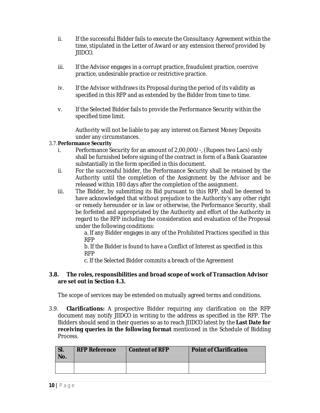- ii. If the successful Bidder fails to execute the Consultancy Agreement within the time, stipulated in the Letter of Award or any extension thereof provided by JIIDCO.
- iii. If the Advisor engages in a corrupt practice, fraudulent practice, coercive practice, undesirable practice or restrictive practice.
- iv. If the Advisor withdraws its Proposal during the period of its validity as specified in this RFP and as extended by the Bidder from time to time.
- v. If the Selected Bidder fails to provide the Performance Security within the specified time limit.

Authority will not be liable to pay any interest on Earnest Money Deposits under any circumstances.

## 3.7.**Performance Security**

- i. Performance Security for an amount of 2,00,000/-, (Rupees two Lacs) only shall be furnished before signing of the contract in form of a Bank Guarantee substantially in the form specified in this document.
- ii. For the successful bidder, the Performance Security shall be retained by the Authority until the completion of the Assignment by the Advisor and be released within 180 days after the completion of the assignment.
- iii. The Bidder, by submitting its Bid pursuant to this RFP, shall be deemed to have acknowledged that without prejudice to the Authority's any other right or remedy hereunder or in law or otherwise, the Performance Security, shall be forfeited and appropriated by the Authority and effort of the Authority in regard to the RFP including the consideration and evaluation of the Proposal under the following conditions:

a. If any Bidder engages in any of the Prohibited Practices specified in this RFP

b. If the Bidder is found to have a Conflict of Interest as specified in this RFP

c. If the Selected Bidder commits a breach of the Agreement

#### **3.8. The roles, responsibilities and broad scope of work of Transaction Advisor are set out in Section 4.3.**

The scope of services may be extended on mutually agreed terms and conditions.

3.9. **Clarifications:** A prospective Bidder requiring any clarification on the RFP document may notify JIIDCO in writing to the address as specified in the RFP. The Bidders should send in their queries so as to reach JIIDCO latest by the **Last Date for receiving queries in the following format** mentioned in the Schedule of Bidding Process.

| I SI.<br>No. | <b>RFP Reference</b> | Content of RFP | <b>Point of Clarification</b> |
|--------------|----------------------|----------------|-------------------------------|
|              |                      |                |                               |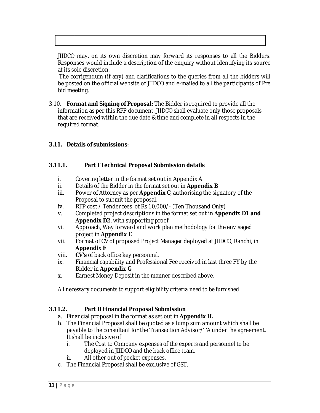JIIDCO may, on its own discretion may forward its responses to all the Bidders. Responses would include a description of the enquiry without identifying its source at its sole discretion.

The corrigendum (if any) and clarifications to the queries from all the bidders will be posted on the official website of JIIDCO and e-mailed to all the participants of Pre bid meeting.

3.10. **Format and Signing of Proposal:** The Bidder is required to provide all the information as per this RFP document. JIIDCO shall evaluate only those proposals that are received within the due date & time and complete in all respects in the required format.

## **3.11. Details of submissions:**

## **3.11.1. Part I Technical Proposal Submission details**

- i. Covering letter in the format set out in Appendix A
- ii. Details of the Bidder in the format set out in **Appendix B**
- iii. Power of Attorney as per **Appendix C**, authorising the signatory of the Proposal to submit the proposal.
- iv. RFP cost / Tender fees of Rs 10,000/- (Ten Thousand Only)
- v. Completed project descriptions in the format set out in **Appendix D1 and Appendix D2**, with supporting proof
- vi. Approach, Way forward and work plan methodology for the envisaged project in **Appendix E**
- vii. Format of CV of proposed Project Manager deployed at JIIDCO, Ranchi, in **Appendix F**
- viii. **CV's** of back office key personnel.
- ix. Financial capability and Professional Fee received in last three FY by the Bidder in **Appendix G**
- x. Earnest Money Deposit in the manner described above.

*All necessary documents to support eligibility criteria need to be furnished*

## **3.11.2. Part II Financial Proposal Submission**

- a. Financial proposal in the format as set out in **Appendix H.**
- b. The Financial Proposal shall be quoted as a lump sum amount which shall be payable to the consultant for the Transaction Advisor/TA under the agreement. It shall be inclusive of
	- i. The Cost to Company expenses of the experts and personnel to be deployed in JIIDCO and the back office team.
	- ii. All other out of pocket expenses.
- c. The Financial Proposal shall be exclusive of GST.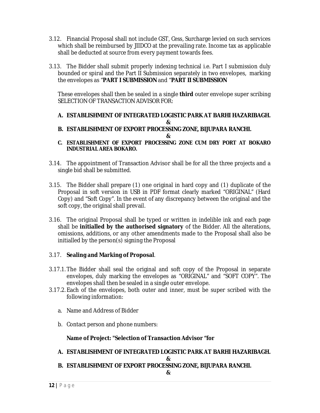- 3.12. Financial Proposal shall not include GST, Cess, Surcharge levied on such services which shall be reimbursed by JIIDCO at the prevailing rate. Income tax as applicable shall be deducted at source from every payment towards fees.
- 3.13. The Bidder shall submit properly indexing technical i.e. Part I submission duly bounded or spiral and the Part II Submission separately in two envelopes, marking the envelopes as "**PART I SUBMISSION** and "**PART II SUBMISSION**

These envelopes shall then be sealed in a single **third** outer envelope super scribing SELECTION OF TRANSACTION ADVISOR FOR:

- **A. ESTABLISHMENT OF INTEGRATED LOGISTIC PARK AT BARHI HAZARIBAGH. &**
- **B. ESTABLISHMENT OF EXPORT PROCESSING ZONE, BIJUPARA RANCHI.**

**&**

- **C. ESTABLISHMENT OF EXPORT PROCESSING ZONE CUM DRY PORT AT BOKARO INDUSTRIAL AREA BOKARO.**
- 3.14. The appointment of Transaction Advisor shall be for all the three projects and a single bid shall be submitted.
- 3.15. The Bidder shall prepare (1) one original in hard copy and (1) duplicate of the Proposal in soft version in USB in PDF format clearly marked "ORIGINAL" (Hard Copy) and "Soft Copy". In the event of any discrepancy between the original and the soft copy, the original shall prevail.
- 3.16. The original Proposal shall be typed or written in indelible ink and each page shall be **initialled by the authorised signatory** of the Bidder. All the alterations, omissions, additions, or any other amendments made to the Proposal shall also be initialled by the person(s) signing the Proposal

## 3.17. **Sealing and Marking of Proposal**.

- 3.17.1. The Bidder shall seal the original and soft copy of the Proposal in separate envelopes, duly marking the envelopes as "ORIGINAL" and "SOFT COPY". The envelopes shall then be sealed in a single outer envelope.
- 3.17.2. Each of the envelopes, both outer and inner, must be super scribed with the following information:
	- a. Name and Address of Bidder
	- b. Contact person and phone numbers:

## **Name of Project: "Selection of Transaction Advisor "for**

**A. ESTABLISHMENT OF INTEGRATED LOGISTIC PARK AT BARHI HAZARIBAGH.**

**&**

**B. ESTABLISHMENT OF EXPORT PROCESSING ZONE, BIJUPARA RANCHI.**

**&**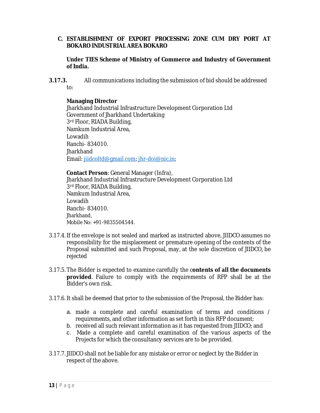## **C. ESTABLISHMENT OF EXPORT PROCESSING ZONE CUM DRY PORT AT BOKARO INDUSTRIAL AREA BOKARO**

**Under TIES Scheme of Ministry of Commerce and Industry of Government of India.**

**3.17.3.** All communications including the submission of bid should be addressed to:

#### **Managing Director**

Jharkhand Industrial Infrastructure Development Corporation Ltd Government of Jharkhand Undertaking 3<sup>rd</sup> Floor, RIADA Building, Namkum Industrial Area, Lowadih Ranchi- 834010. **Jharkhand** Email: jiidcoltd@gmail.com; jhr-doi@nic.in;

**Contact Person**: General Manager (Infra), Jharkhand Industrial Infrastructure Development Corporation Ltd 3rd Floor, RIADA Building, Namkum Industrial Area, Lowadih Ranchi- 834010. Jharkhand, Mobile No: +91-9835504544.

- 3.17.4. If the envelope is not sealed and marked as instructed above, JIIDCO assumes no responsibility for the misplacement or premature opening of the contents of the Proposal submitted and such Proposal, may, at the sole discretion of JIIDCO, be rejected
- 3.17.5. The Bidder is expected to examine carefully the c**ontents of all the documents provided**. Failure to comply with the requirements of RFP shall be at the Bidder's own risk.
- 3.17.6. It shall be deemed that prior to the submission of the Proposal, the Bidder has:
	- a. made a complete and careful examination of terms and conditions / requirements, and other information as set forth in this RFP document;
	- b. received all such relevant information as it has requested from JIIDCO; and
	- c. Made a complete and careful examination of the various aspects of the Projects for which the consultancy services are to be provided.
- 3.17.7. JIIDCO shall not be liable for any mistake or error or neglect by the Bidder in respect of the above.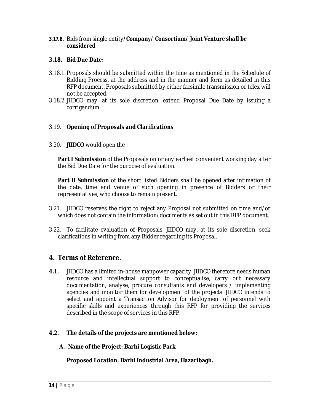## *3.17.8.* Bids from single entity*/Company/ Consortium/ Joint Venture shall be considered*

#### **3.18. Bid Due Date:**

- 3.18.1. Proposals should be submitted within the time as mentioned in the Schedule of Bidding Process, at the address and in the manner and form as detailed in this RFP document. Proposals submitted by either facsimile transmission or telex will not be accepted.
- 3.18.2. JIIDCO may, at its sole discretion, extend Proposal Due Date by issuing a corrigendum.

## 3.19. **Opening of Proposals and Clarifications**

3.20. **JIIDCO** would open the

**Part I Submission** of the Proposals on or any earliest convenient working day after the Bid Due Date for the purpose of evaluation.

**Part II Submission** of the short listed Bidders shall be opened after intimation of the date, time and venue of such opening in presence of Bidders or their representatives, who choose to remain present.

- 3.21. JIIDCO reserves the right to reject any Proposal not submitted on time and/or which does not contain the information/documents as set out in this RFP document.
- 3.22. To facilitate evaluation of Proposals, JIIDCO may, at its sole discretion, seek clarifications in writing from any Bidder regarding its Proposal.

## **4. Terms of Reference.**

**4.1.** JIIDCO has a limited in-house manpower capacity. JIIDCO therefore needs human resource and intellectual support to conceptualise, carry out necessary documentation, analyse, procure consultants and developers / implementing agencies and monitor them for development of the projects. JIIDCO intends to select and appoint a Transaction Advisor for deployment of personnel with specific skills and experiences through this RFP for providing the services described in the scope of services in this RFP.

## **4.2. The details of the projects are mentioned below:**

**A. Name of the Project: Barhi Logistic Park**

**Proposed Location: Barhi Industrial Area, Hazaribagh.**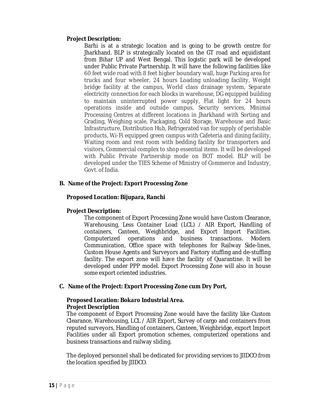#### **Project Description:**

Barhi is at a strategic location and is going to be growth centre for Jharkhand. BLP is strategically located on the GT road and equidistant from Bihar UP and West Bengal. This logistic park will be developed under Public Private Partnership. It will have the following facilities like 60 feet wide road with 8 feet higher boundary wall, huge Parking area for trucks and four wheeler, 24 hours Loading unloading facility, Weight bridge facility at the campus, World class drainage system, Separate electricity connection for each blocks in warehouse, DG equipped building to maintain uninterrupted power supply, Flat light for 24 hours operations inside and outside campus, Security services, Minimal Processing Centres at different locations in Jharkhand with Sorting and Grading, Weighing scale, Packaging, Cold Storage, Warehouse and Basic Infrastructure, Distribution Hub, Refrigerated van for supply of perishable products, Wi-Fi equipped green campus with Cafeteria and dining facility, Waiting room and rest room with bedding facility for transporters and visitors, Commercial complex to shop essential items. It will be developed with Public Private Partnership mode on BOT model. BLP will be developed under the TIES Scheme of Ministry of Commerce and Industry, Govt. of India.

## **B. Name of the Project: Export Processing Zone**

## **Proposed Location: Bijupara, Ranchi**

## **Project Description:**

The component of Export Processing Zone would have Custom Clearance, Warehousing, Less Container Load (LCL) / AIR Export, Handling of containers, Canteen, Weighbridge, and Export Import Facilities. Computerized operations and business transactions. Modern Communication, Office space with telephones for Railway Side-lines, Custom House Agents and Surveyors and Factory stuffing and de-stuffing facility. The export zone will have the facility of Quarantine. It will be developed under PPP model. Export Processing Zone will also in house some export oriented industries.

## **C. Name of the Project: Export Processing Zone cum Dry Port,**

## **Proposed Location: Bokaro Industrial Area. Project Description**

The component of Export Processing Zone would have the facility like Custom Clearance, Warehousing, LCL / AIR Export, Survey of cargo and containers from reputed surveyors, Handling of containers, Canteen, Weighbridge, export Import Facilities under all Export promotion schemes, computerized operations and business transactions and railway sliding.

The deployed personnel shall be dedicated for providing services to JIIDCO from the location specified by JIIDCO.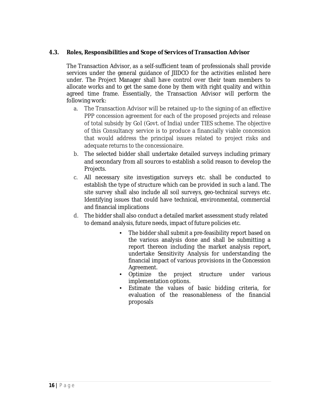## **4.3. Roles, Responsibilities and Scope of Services of Transaction Advisor**

The Transaction Advisor, as a self-sufficient team of professionals shall provide services under the general guidance of JIIDCO for the activities enlisted here under. The Project Manager shall have control over their team members to allocate works and to get the same done by them with right quality and within agreed time frame. Essentially, the Transaction Advisor will perform the following work:

- a. The Transaction Advisor will be retained up-to the signing of an effective PPP concession agreement for each of the proposed projects and release of total subsidy by GoI (Govt. of India) under TIES scheme. The objective of this Consultancy service is to produce a financially viable concession that would address the principal issues related to project risks and adequate returns to the concessionaire.
- b. The selected bidder shall undertake detailed surveys including primary and secondary from all sources to establish a solid reason to develop the Projects.
- c. All necessary site investigation surveys etc. shall be conducted to establish the type of structure which can be provided in such a land. The site survey shall also include all soil surveys, geo-technical surveys etc. Identifying issues that could have technical, environmental, commercial and financial implications
- d. The bidder shall also conduct a detailed market assessment study related to demand analysis, future needs, impact of future policies etc.
	- The bidder shall submit a pre-feasibility report based on the various analysis done and shall be submitting a report thereon including the market analysis report, undertake Sensitivity Analysis for understanding the financial impact of various provisions in the Concession Agreement.
	- Optimize the project structure under various implementation options.
	- Estimate the values of basic bidding criteria, for evaluation of the reasonableness of the financial proposals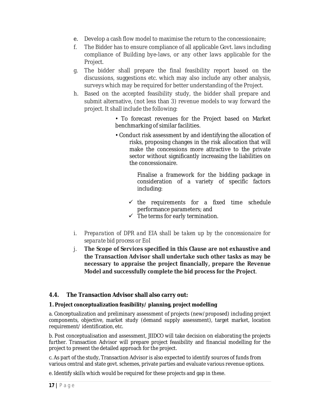- e. Develop a cash flow model to maximise the return to the concessionaire;
- f. The Bidder has to ensure compliance of all applicable Govt. laws including compliance of Building bye-laws, or any other laws applicable for the Project.
- g. The bidder shall prepare the final feasibility report based on the discussions, suggestions etc. which may also include any other analysis, surveys which may be required for better understanding of the Project.
- h. Based on the accepted feasibility study, the bidder shall prepare and submit alternative, (not less than 3) revenue models to way forward the project. It shall include the following:

• To forecast revenues for the Project based on Market benchmarking of similar facilities.

• Conduct risk assessment by and identifying the allocation of risks, proposing changes in the risk allocation that will make the concessions more attractive to the private sector without significantly increasing the liabilities on the concessionaire.

> Finalise a framework for the bidding package in consideration of a variety of specific factors including:

- $\checkmark$  the requirements for a fixed time schedule performance parameters; and
- $\checkmark$  The terms for early termination.
- i. *Preparation of DPR and EIA shall be taken up by the concessionaire for separate bid process or EoI*
- j. **The Scope of Services specified in this Clause are not exhaustive and the Transaction Advisor shall undertake such other tasks as may be necessary to appraise the project financially, prepare the Revenue Model and successfully complete the bid process for the Project**.

## **4.4. The Transaction Advisor shall also carry out:**

#### **1. Project conceptualization feasibility/ planning, project modelling**

a. Conceptualization and preliminary assessment of projects (new/proposed) including project components, objective, market study (demand supply assessment), target market, location requirement/ identification, etc.

b. Post conceptualisation and assessment, JIIDCO will take decision on elaborating the projects further. Transaction Advisor will prepare project feasibility and financial modelling for the project to present the detailed approach for the project.

c. As part of the study, Transaction Advisor is also expected to identify sources of funds from various central and state govt. schemes, private parties and evaluate various revenue options.

e. Identify skills which would be required for these projects and gap in these.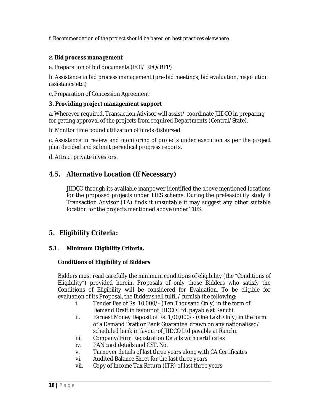f. Recommendation of the project should be based on best practices elsewhere.

## **2. Bid process management**

a. Preparation of bid documents (EOI/ RFQ/RFP)

b. Assistance in bid process management (pre-bid meetings, bid evaluation, negotiation assistance etc.)

c. Preparation of Concession Agreement

#### **3. Providing project management support**

a. Wherever required, Transaction Advisor will assist/ coordinate JIIDCO in preparing for getting approval of the projects from required Departments (Central/State).

b. Monitor time bound utilization of funds disbursed.

c. Assistance in review and monitoring of projects under execution as per the project plan decided and submit periodical progress reports.

d. Attract private investors.

## **4.5. Alternative Location (If Necessary)**

JIIDCO through its available manpower identified the above mentioned locations for the proposed projects under TIES scheme. During the prefeasibility study if Transaction Advisor (TA) finds it unsuitable it may suggest any other suitable location for the projects mentioned above under TIES.

## **5. Eligibility Criteria:**

## **5.1. Minimum Eligibility Criteria.**

#### **Conditions of Eligibility of Bidders**

Bidders must read carefully the minimum conditions of eligibility (the "Conditions of Eligibility") provided herein. Proposals of only those Bidders who satisfy the Conditions of Eligibility will be considered for Evaluation. To be eligible for evaluation of its Proposal, the Bidder shall fulfil / furnish the following:

- i. Tender Fee of Rs. 10,000/- (Ten Thousand Only) in the form of Demand Draft in favour of JIIDCO Ltd, payable at Ranchi.
- ii. Earnest Money Deposit of Rs. 1,00,000/- (One Lakh Only) in the form of a Demand Draft or Bank Guarantee drawn on any nationalised/ scheduled bank in favour of JIIDCO Ltd payable at Ranchi.
- iii. Company/Firm Registration Details with certificates
- iv. PAN card details and GST. No.
- v. Turnover details of last three years along with CA Certificates
- vi. Audited Balance Sheet for the last three years
- vii. Copy of Income Tax Return (ITR) of last three years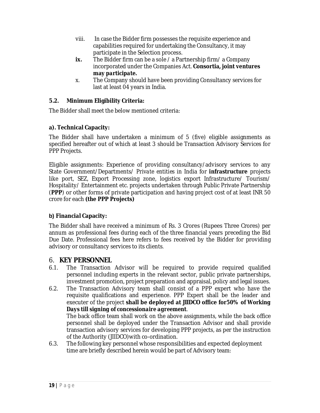- viii. In case the Bidder firm possesses the requisite experience and capabilities required for undertaking the Consultancy, it may participate in the Selection process.
- **ix.** The Bidder firm can be a sole / a Partnership firm/ a Company incorporated under the Companies Act. **Consortia, joint ventures may** *participate***.**
- x. The Company should have been providing Consultancy services for last at least 04 years in India.

## **5.2. Minimum Eligibility Criteria:**

The Bidder shall meet the below mentioned criteria:

## **a). Technical Capacity:**

The Bidder shall have undertaken a minimum of 5 (five) eligible assignments as specified hereafter out of which at least 3 should be Transaction Advisory Services for PPP Projects.

Eligible assignments: Experience of providing consultancy/advisory services to any State Government/Departments/ *Private entities* in India for **infrastructure** projects like port, SEZ, Export Processing zone, logistics export Infrastructure/ Tourism/ Hospitality/ Entertainment etc. projects undertaken through Public Private Partnership (**PPP**) or other forms of private participation and having project cost of at least INR 50 crore for each **(the PPP Projects)**

## **b) Financial Capacity:**

The Bidder shall have received a minimum of Rs. 3 Crores (Rupees Three Crores) per annum as professional fees during each of the three financial years preceding the Bid Due Date. Professional fees here refers to fees received by the Bidder for providing advisory or consultancy services to its clients.

## 6. **KEY PERSONNEL**

- 6.1. The Transaction Advisor will be required to provide required qualified personnel including experts in the relevant sector, public private partnerships, investment promotion, project preparation and appraisal, policy and legal issues.
- 6.2. The Transaction Advisory team shall consist of a PPP expert who have the requisite qualifications and experience. PPP Expert shall be the leader and executer of the project **shall be deployed at JIIDCO office for***50% of Working Days till signing of concessionaire agreement*. The back office team shall work on the above assignments, while the back office

personnel shall be deployed under the Transaction Advisor and shall provide transaction advisory services for developing PPP projects, as per the instruction of the Authority (JIIDCO)with co-ordination.

6.3. The following key personnel whose responsibilities and expected deployment time are briefly described herein would be part of Advisory team: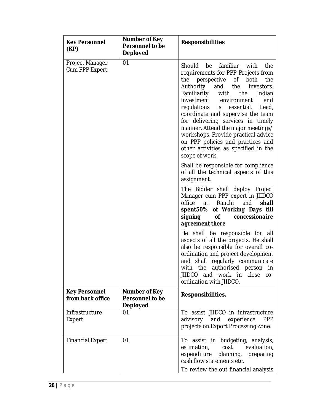| <b>Key Personnel</b><br>(KP)             | Number of Key<br><b>Personnel to be</b><br><b>Deployed</b>        | <b>Responsibilities</b>                                                                                                                                                                                                                                                                                                                                                                                                                                                                                                 |  |  |  |  |  |  |  |  |  |
|------------------------------------------|-------------------------------------------------------------------|-------------------------------------------------------------------------------------------------------------------------------------------------------------------------------------------------------------------------------------------------------------------------------------------------------------------------------------------------------------------------------------------------------------------------------------------------------------------------------------------------------------------------|--|--|--|--|--|--|--|--|--|
| Project Manager<br>Cum PPP Expert.       | 01                                                                | familiar with<br>Should<br>be<br>the<br>requirements for PPP Projects from<br>perspective<br>the<br>the<br>of both<br>Authority and the<br>investors.<br>Familiarity with the<br>Indian<br>investment environment<br>and<br>regulations is<br>essential.<br>Lead,<br>coordinate and supervise the team<br>for delivering services in timely<br>manner. Attend the major meetings/<br>workshops. Provide practical advice<br>on PPP policies and practices and<br>other activities as specified in the<br>scope of work. |  |  |  |  |  |  |  |  |  |
|                                          |                                                                   | Shall be responsible for compliance<br>of all the technical aspects of this<br>assignment.                                                                                                                                                                                                                                                                                                                                                                                                                              |  |  |  |  |  |  |  |  |  |
|                                          |                                                                   | The Bidder shall deploy Project<br>Manager cum PPP expert in JIIDCO<br>office at Ranchi<br>and<br>shall<br>spent50% of Working Days till<br>signing<br>concessionaire<br><b>of</b><br>agreement there                                                                                                                                                                                                                                                                                                                   |  |  |  |  |  |  |  |  |  |
|                                          |                                                                   | He shall be responsible for all<br>aspects of all the projects. He shall<br>also be responsible for overall co-<br>ordination and project development<br>and shall regularly communicate<br>with the authorised person in<br>JIIDCO and work in close co-<br>ordination with JIIDCO.                                                                                                                                                                                                                                    |  |  |  |  |  |  |  |  |  |
| <b>Key Personnel</b><br>from back office | <b>Number of Key</b><br><b>Personnel to be</b><br><b>Deployed</b> | Responsibilities.                                                                                                                                                                                                                                                                                                                                                                                                                                                                                                       |  |  |  |  |  |  |  |  |  |
| Infrastructure<br>Expert                 | 01                                                                | To assist JIIDCO in infrastructure<br>advisory<br>and<br>experience<br><b>PPP</b><br>projects on Export Processing Zone.                                                                                                                                                                                                                                                                                                                                                                                                |  |  |  |  |  |  |  |  |  |
| <b>Financial Expert</b>                  | 01                                                                | To assist in budgeting, analysis,<br>estimation,<br>cost<br>evaluation,<br>expenditure planning,<br>preparing<br>cash flow statements etc.<br>To review the out financial analysis                                                                                                                                                                                                                                                                                                                                      |  |  |  |  |  |  |  |  |  |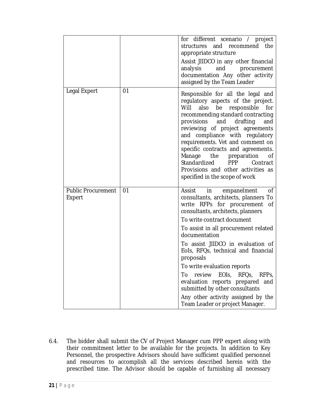|                                     |    | for different scenario / project<br>structures and recommend<br>the<br>appropriate structure<br>Assist JIIDCO in any other financial<br>analysis<br>and<br>procurement<br>documentation Any other activity<br>assigned by the Team Leader                                                                                                                                                                                                                                                                                                                          |
|-------------------------------------|----|--------------------------------------------------------------------------------------------------------------------------------------------------------------------------------------------------------------------------------------------------------------------------------------------------------------------------------------------------------------------------------------------------------------------------------------------------------------------------------------------------------------------------------------------------------------------|
| Legal Expert                        | 01 | Responsible for all the legal and<br>regulatory aspects of the project.<br>also<br>Will<br>be<br>responsible<br>for<br>recommending standard contracting<br>provisions and<br>drafting<br>and<br>reviewing of project agreements<br>and compliance with regulatory<br>requirements. Vet and comment on<br>specific contracts and agreements.<br>Manage the preparation<br>οf<br>Standardized<br><b>PPP</b><br>Contract<br>Provisions and other activities as<br>specified in the scope of work                                                                     |
| <b>Public Procurement</b><br>Expert | 01 | Assist<br>in<br>οf<br>empanelment<br>consultants, architects, planners To<br>write RFPs for procurement<br>οf<br>consultants, architects, planners<br>To write contract document<br>To assist in all procurement related<br>documentation<br>To assist JIIDCO in evaluation of<br>Eols, RFQs, technical and financial<br>proposals<br>To write evaluation reports<br>review EOIs, RFQs,<br>To<br>RFP <sub>S</sub><br>evaluation reports prepared<br>and<br>submitted by other consultants<br>Any other activity assigned by the<br>Team Leader or project Manager. |

6.4. The bidder shall submit the CV of Project Manager cum PPP expert along with their commitment letter to be available for the projects. In addition to Key Personnel, the prospective Advisors should have sufficient qualified personnel and resources to accomplish all the services described herein with the prescribed time. The Advisor should be capable of furnishing all necessary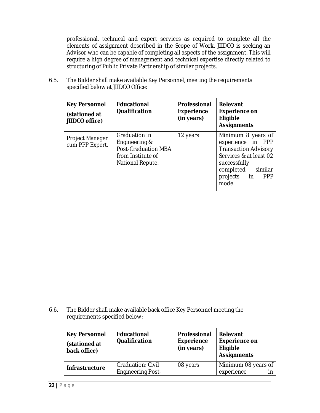professional, technical and expert services as required to complete all the elements of assignment described in the Scope of Work. JIIDCO is seeking an Advisor who can be capable of completing all aspects of the assignment. This will require a high degree of management and technical expertise directly related to structuring of Public Private Partnership of similar projects.

6.5. The Bidder shall make available Key Personnel, meeting the requirements specified below at JIIDCO Office:

| <b>Key Personnel</b><br>(stationed at<br>JIIDCO office) | <b>Educational</b><br><b>Qualification</b>                                                            | <b>Professional</b><br><b>Experience</b><br>(in years) | <b>Relevant</b><br><b>Experience on</b><br>Eligible<br><b>Assignments</b>                                                                                                   |
|---------------------------------------------------------|-------------------------------------------------------------------------------------------------------|--------------------------------------------------------|-----------------------------------------------------------------------------------------------------------------------------------------------------------------------------|
| Project Manager<br>cum PPP Expert.                      | Graduation in<br>Engineering &<br><b>Post-Graduation MBA</b><br>from Institute of<br>National Repute. | 12 years                                               | Minimum 8 years of<br>experience in PPP<br><b>Transaction Advisory</b><br>Services & at least 02<br>successfully<br>completed similar<br>projects in<br><b>PPP</b><br>mode. |

6.6. The Bidder shall make available back office Key Personnel meeting the requirements specified below:

| <b>Key Personnel</b><br>(stationed at<br>back office) | <b>Educational</b><br>Qualification                  | Professional<br><b>Experience</b><br>(in years) | <b>Relevant</b><br><b>Experience on</b><br>Eligible<br><b>Assignments</b> |
|-------------------------------------------------------|------------------------------------------------------|-------------------------------------------------|---------------------------------------------------------------------------|
| <b>Infrastructure</b>                                 | <b>Graduation: Civil</b><br><b>Engineering Post-</b> | 08 years                                        | Minimum 08 years of<br>experience                                         |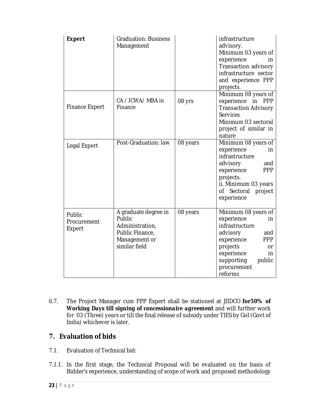| <b>Expert</b>                   | <b>Graduation: Business</b><br>Management                                                              |          | infrastructure<br>advisory.<br>Minimum 03 years of<br>experience<br>in.<br>Transaction advisory<br>infrastructure sector<br>and experience PPP<br>projects.                                      |
|---------------------------------|--------------------------------------------------------------------------------------------------------|----------|--------------------------------------------------------------------------------------------------------------------------------------------------------------------------------------------------|
| <b>Finance Expert</b>           | CA / ICWA/ MBA in<br>Finance                                                                           | 08 yrs   | Minimum 08 years of<br>experience<br>in<br><b>PPP</b><br><b>Transaction Advisory</b><br><b>Services</b><br>Minimum 03 sectoral<br>project of similar in<br>nature                                |
| Legal Expert                    | Post-Graduation: law                                                                                   | 08 years | Minimum 08 years of<br>experience<br>in.<br>infrastructure<br>advisory<br>and<br>experience<br><b>PPP</b><br>projects.<br>ii. Minimum 03 years<br>Sectoral<br>project<br>0f -<br>experience      |
| Public<br>Procurement<br>Expert | A graduate degree in<br>Public<br>Administration,<br>Public Finance,<br>Management or<br>similar field | 08 years | Minimum 08 years of<br>experience<br>in<br>infrastructure<br>advisory<br>and<br><b>PPP</b><br>experience<br>projects<br>or<br>experience<br>in<br>supporting<br>public<br>procurement<br>reforms |

6.7. The Project Manager cum PPP Expert shall be stationed at JIIDCO **for***50% of Working Days till signing of concessionaire agreement* and will further work for 03 (Three) years or till the final release of subsidy under TIES by GoI (Govt of India) whichever is later.

## **7. Evaluation of bids**

- 7.1. Evaluation of Technical bid:
- 7.1.1. In the first stage, the Technical Proposal will be evaluated on the basis of Bidder's experience, understanding of scope of work and proposed methodology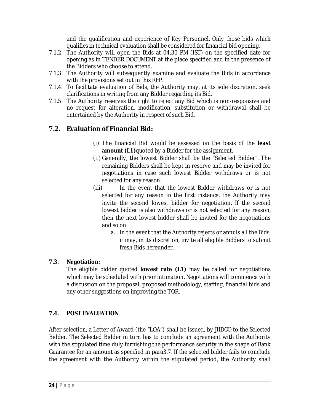and the qualification and experience of Key Personnel. Only those bids which qualifies in technical evaluation shall be considered for financial bid opening.

- 7.1.2. The Authority will open the Bids at 04.30 PM (IST) on the specified date for opening as in TENDER DOCUMENT at the place specified and in the presence of the Bidders who choose to attend.
- 7.1.3. The Authority will subsequently examine and evaluate the Bids in accordance with the provisions set out in this RFP.
- 7.1.4. To facilitate evaluation of Bids, the Authority may, at its sole discretion, seek clarifications in writing from any Bidder regarding its Bid.
- 7.1.5. The Authority reserves the right to reject any Bid which is non-responsive and no request for alteration, modification, substitution or withdrawal shall be entertained by the Authority in respect of such Bid.

## **7.2. Evaluation of Financial Bid:**

- (i) The financial Bid would be assessed on the basis of the **least amount (L1)**quoted by a Bidder for the assignment.
- (ii) Generally, the lowest Bidder shall be the "Selected Bidder". The remaining Bidders shall be kept in reserve and may be invited for negotiations in case such lowest Bidder withdraws or is not selected for any reason.
- (iii) In the event that the lowest Bidder withdraws or is not selected for any reason in the first instance, the Authority may invite the second lowest bidder for negotiation. If the second lowest bidder is also withdraws or is not selected for any reason, then the next lowest bidder shall be invited for the negotiations and so on.
	- a. In the event that the Authority rejects or annuls all the Bids, it may, in its discretion, invite all eligible Bidders to submit fresh Bids hereunder.

## **7.3. Negotiation:**

The eligible bidder quoted **lowest rate (L1)** may be called for negotiations which may be scheduled with prior intimation. Negotiations will commence with a discussion on the proposal, proposed methodology, staffing, financial bids and any other suggestions on improving the TOR.

## **7.4. POST EVALUATION**

After selection, a Letter of Award (the "LOA") shall be issued, by JIIDCO to the Selected Bidder. The Selected Bidder in turn has to conclude an agreement with the Authority with the stipulated time duly furnishing the performance security in the shape of Bank Guarantee for an amount as specified in para3.7. If the selected bidder fails to conclude the agreement with the Authority within the stipulated period, the Authority shall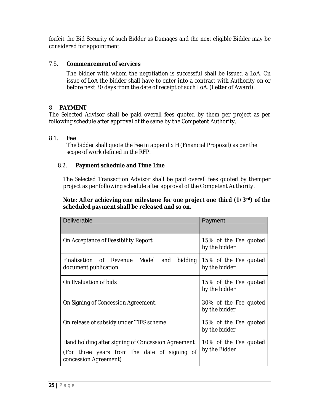forfeit the Bid Security of such Bidder as Damages and the next eligible Bidder may be considered for appointment.

## 7.5. **Commencement of services**

The bidder with whom the negotiation is successful shall be issued a LoA. On issue of LoA the bidder shall have to enter into a contract with Authority on or before next 30 days from the date of receipt of such LoA. (Letter of Award).

## 8. **PAYMENT**

The Selected Advisor shall be paid overall fees quoted by them per project as per following schedule after approval of the same by the Competent Authority.

## 8.1. **Fee**

The bidder shall quote the Fee in appendix H (Financial Proposal) as per the scope of work defined in the RFP:

## 8.2. **Payment schedule and Time Line**

The Selected Transaction Advisor shall be paid overall fees quoted by themper project as per following schedule after approval of the Competent Authority.

## **Note: After achieving one milestone for one project one third (1/3rd) of the scheduled payment shall be released and so on.**

| <b>Deliverable</b>                                                                                                          | Payment                                |  |  |  |  |  |  |
|-----------------------------------------------------------------------------------------------------------------------------|----------------------------------------|--|--|--|--|--|--|
| On Acceptance of Feasibility Report                                                                                         | 15% of the Fee quoted<br>by the bidder |  |  |  |  |  |  |
| Finalisation of Revenue Model and<br>bidding<br>document publication.                                                       | 15% of the Fee quoted<br>by the bidder |  |  |  |  |  |  |
| On Evaluation of bids                                                                                                       | 15% of the Fee quoted<br>by the bidder |  |  |  |  |  |  |
| On Signing of Concession Agreement.                                                                                         | 30% of the Fee quoted<br>by the bidder |  |  |  |  |  |  |
| On release of subsidy under TIES scheme                                                                                     | 15% of the Fee quoted<br>by the bidder |  |  |  |  |  |  |
| Hand holding after signing of Concession Agreement<br>(For three years from the date of signing of<br>concession Agreement) | 10% of the Fee quoted<br>by the Bidder |  |  |  |  |  |  |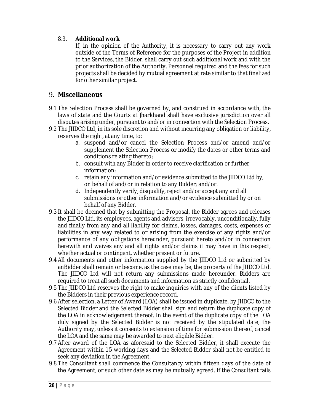## 8.3. **Additional work**

If, in the opinion of the Authority, it is necessary to carry out any work outside of the Terms of Reference for the purposes of the Project in addition to the Services, the Bidder, shall carry out such additional work and with the prior authorization of the Authority. Personnel required and the fees for such projects shall be decided by mutual agreement at rate similar to that finalized for other similar project.

## 9. **Miscellaneous**

- 9.1 The Selection Process shall be governed by, and construed in accordance with, the laws of state and the Courts at Jharkhand shall have exclusive jurisdiction over all disputes arising under, pursuant to and/or in connection with the Selection Process.
- 9.2 The JIIDCO Ltd, in its sole discretion and without incurring any obligation or liability, reserves the right, at any time, to:
	- a. suspend and/or cancel the Selection Process and/or amend and/or supplement the Selection Process or modify the dates or other terms and conditions relating thereto;
	- b. consult with any Bidder in order to receive clarification or further information;
	- c. retain any information and/or evidence submitted to the JIIDCO Ltd by, on behalf of and/or in relation to any Bidder; and/or.
	- d. Independently verify, disqualify, reject and/or accept any and all submissions or other information and/or evidence submitted by or on behalf of any Bidder.
- 9.3 It shall be deemed that by submitting the Proposal, the Bidder agrees and releases the JIIDCO Ltd, its employees, agents and advisers, irrevocably, unconditionally, fully and finally from any and all liability for claims, losses, damages, costs, expenses or liabilities in any way related to or arising from the exercise of any rights and/or performance of any obligations hereunder, pursuant hereto and/or in connection herewith and waives any and all rights and/or claims it may have in this respect, whether actual or contingent, whether present or future.
- 9.4 All documents and other information supplied by the JIIDCO Ltd or submitted by anBidder shall remain or become, as the case may be, the property of the JIIDCO Ltd. The JIIDCO Ltd will not return any submissions made hereunder. Bidders are required to treat all such documents and information as strictly confidential.
- 9.5 The JIIDCO Ltd reserves the right to make inquiries with any of the clients listed by the Bidders in their previous experience record.
- 9.6 After selection, a Letter of Award (LOA) shall be issued in duplicate, by JIIDCO to the Selected Bidder and the Selected Bidder shall sign and return the duplicate copy of the LOA in acknowledgement thereof. In the event of the duplicate copy of the LOA duly signed by the Selected Bidder is not received by the stipulated date, the Authority may, unless it consents to extension of time for submission thereof, cancel the LOA and the same may be awarded to next eligible Bidder.
- 9.7 After award of the LOA as aforesaid to the Selected Bidder, it shall execute the Agreement within 15 working days and the Selected Bidder shall not be entitled to seek any deviation in the Agreement.
- 9.8 The Consultant shall commence the Consultancy within fifteen days of the date of the Agreement, or such other date as may be mutually agreed. If the Consultant fails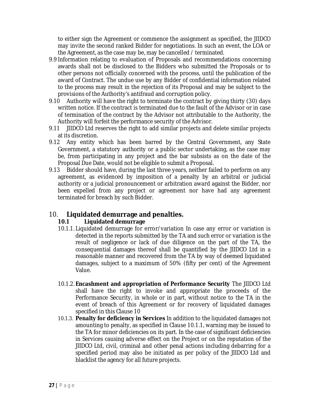to either sign the Agreement or commence the assignment as specified, the JIIDCO may invite the second ranked Bidder for negotiations. In such an event, the LOA or the Agreement, as the case may be, may be cancelled / terminated.

- 9.9 Information relating to evaluation of Proposals and recommendations concerning awards shall not be disclosed to the Bidders who submitted the Proposals or to other persons not officially concerned with the process, until the publication of the award of Contract. The undue use by any Bidder of confidential information related to the process may result in the rejection of its Proposal and may be subject to the provisions of the Authority's antifraud and corruption policy.
- 9.10 Authority will have the right to terminate the contract by giving thirty (30) days written notice. If the contract is terminated due to the fault of the Advisor or in case of termination of the contract by the Advisor not attributable to the Authority, the Authority will forfeit the performance security of the Advisor.
- 9.11 JIIDCO Ltd reserves the right to add similar projects and delete similar projects at its discretion.
- 9.12 Any entity which has been barred by the Central Government, any State Government, a statutory authority or a public sector undertaking, as the case may be, from participating in any project and the bar subsists as on the date of the Proposal Due Date, would not be eligible to submit a Proposal.
- 9.13 Bidder should have, during the last three years, neither failed to perform on any agreement, as evidenced by imposition of a penalty by an arbitral or judicial authority or a judicial pronouncement or arbitration award against the Bidder, nor been expelled from any project or agreement nor have had any agreement terminated for breach by such Bidder.

## 10. **Liquidated demurrage and penalties.**

## **10.1 Liquidated demurrage**

- 10.1.1. Liquidated demurrage for error/variation In case any error or variation is detected in the reports submitted by the TA and such error or variation is the result of negligence or lack of due diligence on the part of the TA, the consequential damages thereof shall be quantified by the JIIDCO Ltd in a reasonable manner and recovered from the TA by way of deemed liquidated damages, subject to a maximum of 50% (fifty per cent) of the Agreement Value.
- 10.1.2. **Encashment and appropriation of Performance Security** The JIIDCO Ltd shall have the right to invoke and appropriate the proceeds of the Performance Security, in whole or in part, without notice to the TA in the event of breach of this Agreement or for recovery of liquidated damages specified in this Clause 10
- 10.1.3. **Penalty for deficiency in Services** In addition to the liquidated damages not amounting to penalty, as specified in Clause 10.1.1, warning may be issued to the TA for minor deficiencies on its part. In the case of significant deficiencies in Services causing adverse effect on the Project or on the reputation of the JIIDCO Ltd, civil, criminal and other penal actions including debarring for a specified period may also be initiated as per policy of the JIIDCO Ltd and blacklist the agency for all future projects.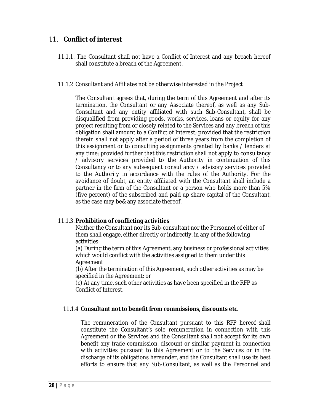## 11. **Conflict of interest**

- 11.1.1. The Consultant shall not have a Conflict of Interest and any breach hereof shall constitute a breach of the Agreement.
- 11.1.2. Consultant and Affiliates not be otherwise interested in the Project

The Consultant agrees that, during the term of this Agreement and after its termination, the Consultant or any Associate thereof, as well as any Sub-Consultant and any entity affiliated with such Sub-Consultant, shall be disqualified from providing goods, works, services, loans or equity for any project resulting from or closely related to the Services and any breach of this obligation shall amount to a Conflict of Interest; provided that the restriction therein shall not apply after a period of three years from the completion of this assignment or to consulting assignments granted by banks / lenders at any time; provided further that this restriction shall not apply to consultancy / advisory services provided to the Authority in continuation of this Consultancy or to any subsequent consultancy / advisory services provided to the Authority in accordance with the rules of the Authority. For the avoidance of doubt, an entity affiliated with the Consultant shall include a partner in the firm of the Consultant or a person who holds more than 5% (five percent) of the subscribed and paid up share capital of the Consultant, as the case may be& any associate thereof.

## 11.1.3. **Prohibition of conflicting activities**

Neither the Consultant nor its Sub-consultant nor the Personnel of either of them shall engage, either directly or indirectly, in any of the following activities:

(a) During the term of this Agreement, any business or professional activities which would conflict with the activities assigned to them under this Agreement

(b) After the termination of this Agreement, such other activities as may be specified in the Agreement; or

(c) At any time, such other activities as have been specified in the RFP as Conflict of Interest.

## 11.1.4 **Consultant not to benefit from commissions, discounts etc.**

The remuneration of the Consultant pursuant to this RFP hereof shall constitute the Consultant's sole remuneration in connection with this Agreement or the Services and the Consultant shall not accept for its own benefit any trade commission, discount or similar payment in connection with activities pursuant to this Agreement or to the Services or in the discharge of its obligations hereunder, and the Consultant shall use its best efforts to ensure that any Sub-Consultant, as well as the Personnel and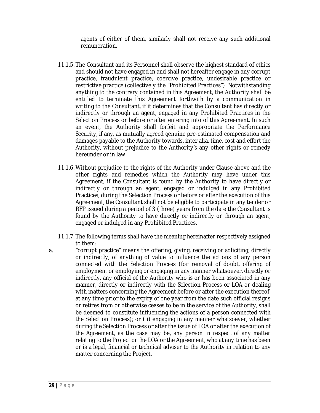agents of either of them, similarly shall not receive any such additional remuneration.

- 11.1.5. The Consultant and its Personnel shall observe the highest standard of ethics and should not have engaged in and shall not hereafter engage in any corrupt practice, fraudulent practice, coercive practice, undesirable practice or restrictive practice (collectively the "Prohibited Practices"). Notwithstanding anything to the contrary contained in this Agreement, the Authority shall be entitled to terminate this Agreement forthwith by a communication in writing to the Consultant, if it determines that the Consultant has directly or indirectly or through an agent, engaged in any Prohibited Practices in the Selection Process or before or after entering into of this Agreement. In such an event, the Authority shall forfeit and appropriate the Performance Security, if any, as mutually agreed genuine pre-estimated compensation and damages payable to the Authority towards, inter alia, time, cost and effort the Authority, without prejudice to the Authority's any other rights or remedy hereunder or in law.
- 11.1.6. Without prejudice to the rights of the Authority under Clause above and the other rights and remedies which the Authority may have under this Agreement, if the Consultant is found by the Authority to have directly or indirectly or through an agent, engaged or indulged in any Prohibited Practices, during the Selection Process or before or after the execution of this Agreement, the Consultant shall not be eligible to participate in any tender or RFP issued during a period of 3 (three) years from the date the Consultant is found by the Authority to have directly or indirectly or through an agent, engaged or indulged in any Prohibited Practices.
- 11.1.7. The following terms shall have the meaning hereinafter respectively assigned to them:
- a. "corrupt practice" means the offering, giving, receiving or soliciting, directly or indirectly, of anything of value to influence the actions of any person connected with the Selection Process (for removal of doubt, offering of employment or employing or engaging in any manner whatsoever, directly or indirectly, any official of the Authority who is or has been associated in any manner, directly or indirectly with the Selection Process or LOA or dealing with matters concerning the Agreement before or after the execution thereof, at any time prior to the expiry of one year from the date such official resigns or retires from or otherwise ceases to be in the service of the Authority, shall be deemed to constitute influencing the actions of a person connected with the Selection Process); or (ii) engaging in any manner whatsoever, whether during the Selection Process or after the issue of LOA or after the execution of the Agreement, as the case may be, any person in respect of any matter relating to the Project or the LOA or the Agreement, who at any time has been or is a legal, financial or technical adviser to the Authority in relation to any matter concerning the Project.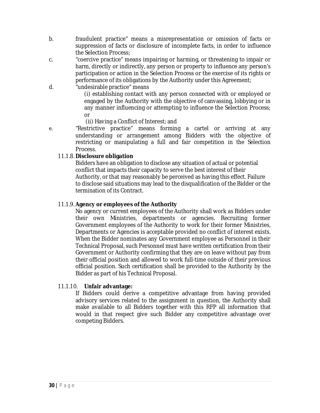- b. fraudulent practice" means a misrepresentation or omission of facts or suppression of facts or disclosure of incomplete facts, in order to influence the Selection Process;
- c. "coercive practice" means impairing or harming, or threatening to impair or harm, directly or indirectly, any person or property to influence any person's participation or action in the Selection Process or the exercise of its rights or performance of its obligations by the Authority under this Agreement;
- d. "undesirable practice" means

(i) establishing contact with any person connected with or employed or engaged by the Authority with the objective of canvassing, lobbying or in any manner influencing or attempting to influence the Selection Process; or

(ii) Having a Conflict of Interest; and

e. "Restrictive practice" means forming a cartel or arriving at any understanding or arrangement among Bidders with the objective of restricting or manipulating a full and fair competition in the Selection Process.

#### 11.1.8. **Disclosure obligation**

Bidders have an obligation to disclose any situation of actual or potential conflict that impacts their capacity to serve the best interest of their Authority, or that may reasonably be perceived as having this effect. Failure to disclose said situations may lead to the disqualification of the Bidder or the termination of its Contract.

#### 11.1.9. **Agency or employees of the Authority**

No agency or current employees of the Authority shall work as Bidders under their own Ministries, departments or agencies. Recruiting former Government employees of the Authority to work for their former Ministries, Departments or Agencies is acceptable provided no conflict of interest exists. When the Bidder nominates any Government employee as Personnel in their Technical Proposal, such Personnel must have written certification from their Government or Authority confirming that they are on leave without pay from their official position and allowed to work full-time outside of their previous official position. Such certification shall be provided to the Authority by the Bidder as part of his Technical Proposal.

## 11.1.10. **Unfair advantage:**

If Bidders could derive a competitive advantage from having provided advisory services related to the assignment in question, the Authority shall make available to all Bidders together with this RFP all information that would in that respect give such Bidder any competitive advantage over competing Bidders.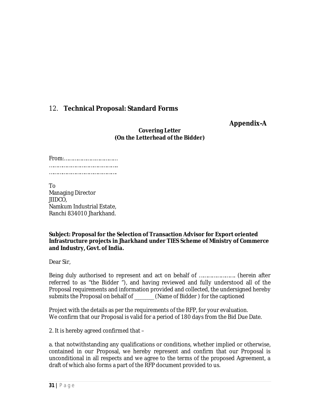## 12. **Technical Proposal: Standard Forms**

**Appendix-A**

**Covering Letter (On the Letterhead of the Bidder)**

To Managing Director JIIDCO, Namkum Industrial Estate, Ranchi 834010 Jharkhand.

**Subject: Proposal for the Selection of Transaction Advisor for Export oriented Infrastructure projects in Jharkhand under TIES Scheme of Ministry of Commerce and Industry, Govt. of India.**

Dear Sir,

Being duly authorised to represent and act on behalf of ……………………. (herein after referred to as "the Bidder "), and having reviewed and fully understood all of the Proposal requirements and information provided and collected, the undersigned hereby submits the Proposal on behalf of \_\_\_\_\_\_\_\_\_ (Name of Bidder ) for the captioned

Project with the details as per the requirements of the RFP, for your evaluation. We confirm that our Proposal is valid for a period of 180 days from the Bid Due Date.

2. It is hereby agreed confirmed that –

a. that notwithstanding any qualifications or conditions, whether implied or otherwise, contained in our Proposal, we hereby represent and confirm that our Proposal is unconditional in all respects and we agree to the terms of the proposed Agreement, a draft of which also forms a part of the RFP document provided to us.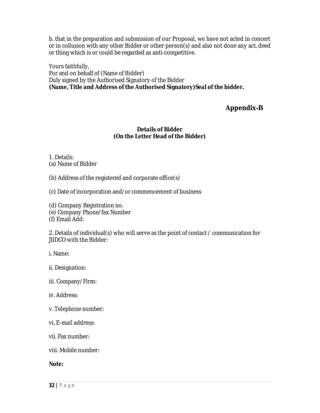b. that in the preparation and submission of our Proposal, we have not acted in concert or in collusion with any other Bidder or other person(s) and also not done any act, deed or thing which is or could be regarded as anti-competitive.

Yours faithfully, For and on behalf of (Name of Bidder) Duly signed by the Authorised Signatory of the Bidder **(Name, Title and Address of the Authorised Signatory)Seal of the bidder.**

## **Appendix-B**

## **Details of Bidder (On the Letter Head of the Bidder)**

1. Details:

(a) Name of Bidder

(b) Address of the registered and corporate office(s)

(c) Date of incorporation and/or commencement of business

(d) Company Registration no.

(e) Company Phone/fax Number

(f) Email Add:

2. Details of individual(s) who will serve as the point of contact / communication for JIIDCO with the Bidder:

i. Name:

ii. Designation:

iii. Company/Firm:

iv. Address:

v. Telephone number:

vi. E-mail address:

vii. Fax number:

viii. Mobile number:

**Note:**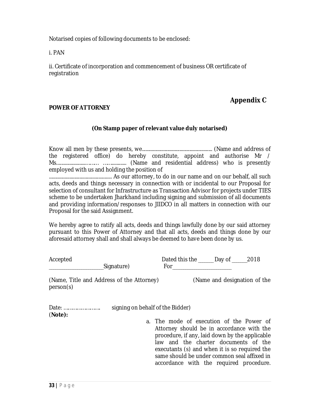Notarised copies of following documents to be enclosed:

i. PAN

ii. Certificate of incorporation and commencement of business OR certificate of registration

## **Appendix C**

## **POWER OF ATTORNEY**

## **(On Stamp paper of relevant value duly notarised)**

Know all men by these presents, we.......................................................... (Name and address of the registered office) do hereby constitute, appoint and authorise Mr / Ms........................……… ……............ (Name and residential address) who is presently employed with us and holding the position of

.................................................... As our attorney, to do in our name and on our behalf, all such acts, deeds and things necessary in connection with or incidental to our Proposal for selection of consultant for Infrastructure as Transaction Advisor for projects under TIES scheme to be undertaken Jharkhand including signing and submission of all documents and providing information/responses to JIIDCO in all matters in connection with our Proposal for the said Assignment.

We hereby agree to ratify all acts, deeds and things lawfully done by our said attorney pursuant to this Power of Attorney and that all acts, deeds and things done by our aforesaid attorney shall and shall always be deemed to have been done by us.

| Accepted                                               | Signature)                       | Dated this the _____ Day of ______2018<br>For the contract of the contract of the contract of the contract of the contract of the contract of the contract of the contract of the contract of the contract of the contract of the contract of the contract of the contra                                                   |                              |  |
|--------------------------------------------------------|----------------------------------|----------------------------------------------------------------------------------------------------------------------------------------------------------------------------------------------------------------------------------------------------------------------------------------------------------------------------|------------------------------|--|
| (Name, Title and Address of the Attorney)<br>person(s) |                                  |                                                                                                                                                                                                                                                                                                                            | (Name and designation of the |  |
| Date:<br>(Note):                                       | signing on behalf of the Bidder) | a. The mode of execution of the Power of<br>Attorney should be in accordance with the<br>procedure, if any, laid down by the applicable<br>law and the charter documents of the<br>executants (s) and when it is so required the<br>same should be under common seal affixed in<br>accordance with the required procedure. |                              |  |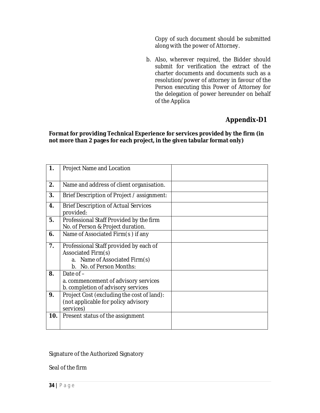Copy of such document should be submitted along with the power of Attorney.

b. Also, wherever required, the Bidder should submit for verification the extract of the charter documents and documents such as a resolution/power of attorney in favour of the Person executing this Power of Attorney for the delegation of power hereunder on behalf of the Applica

# **Appendix-D1**

#### **Format for providing Technical Experience for services provided by the firm (in not more than 2 pages for each project, in the given tabular format only)**

| 1.  | Project Name and Location                                                                                                 |  |
|-----|---------------------------------------------------------------------------------------------------------------------------|--|
| 2.  | Name and address of client organisation.                                                                                  |  |
| 3.  | Brief Description of Project / assignment:                                                                                |  |
| 4.  | <b>Brief Description of Actual Services</b><br>provided:                                                                  |  |
| 5.  | Professional Staff Provided by the firm<br>No. of Person & Project duration.                                              |  |
| 6.  | Name of Associated Firm(s) if any                                                                                         |  |
| 7.  | Professional Staff provided by each of<br>Associated Firm(s)<br>a. Name of Associated Firm(s)<br>b. No. of Person Months: |  |
| 8.  | Date of $-$<br>a. commencement of advisory services<br>b. completion of advisory services                                 |  |
| 9.  | Project Cost (excluding the cost of land):<br>(not applicable for policy advisory<br>services)                            |  |
| 10. | Present status of the assignment                                                                                          |  |

## Signature of the Authorized Signatory

Seal of the firm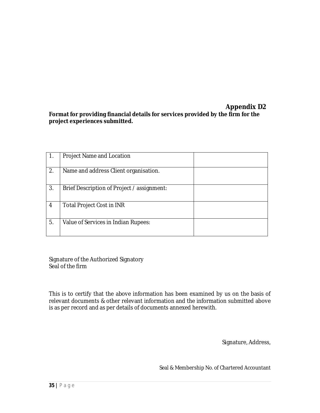## **Appendix D2 Format for providing financial details for services provided by the firm for the project experiences submitted.**

|    | Project Name and Location                  |  |
|----|--------------------------------------------|--|
| 2. | Name and address Client organisation.      |  |
| 3. | Brief Description of Project / assignment: |  |
| 4  | <b>Total Project Cost in INR</b>           |  |
| 5. | Value of Services in Indian Rupees:        |  |

Signature of the Authorized Signatory Seal of the firm

This is to certify that the above information has been examined by us on the basis of relevant documents & other relevant information and the information submitted above is as per record and as per details of documents annexed herewith.

Signature, Address,

Seal & Membership No. of Chartered Accountant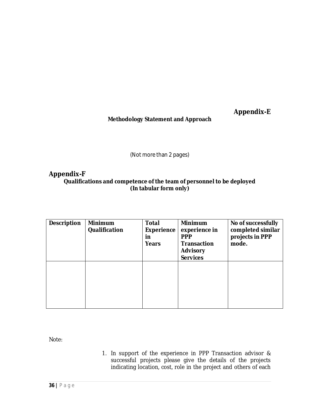**Appendix-E**

## **Methodology Statement and Approach**

(Not more than 2 pages)

## **Appendix-F**

**Qualifications and competence of the team of personnel to be deployed (In tabular form only)**

| <b>Description</b> | <b>Minimum</b><br><b>Qualification</b> | <b>Total</b><br><b>Experience</b><br>in<br><b>Years</b> | <b>Minimum</b><br>experience in<br><b>PPP</b><br><b>Transaction</b><br><b>Advisory</b><br><b>Services</b> | No of successfully<br>completed similar<br>projects in PPP<br>mode. |
|--------------------|----------------------------------------|---------------------------------------------------------|-----------------------------------------------------------------------------------------------------------|---------------------------------------------------------------------|
|                    |                                        |                                                         |                                                                                                           |                                                                     |

Note:

1. In support of the experience in PPP Transaction advisor & successful projects please give the details of the projects indicating location, cost, role in the project and others of each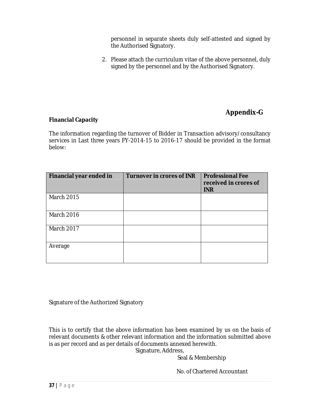personnel in separate sheets duly self-attested and signed by the Authorised Signatory.

2. Please attach the curriculum vitae of the above personnel, duly signed by the personnel and by the Authorised Signatory.

# **Appendix-G**

## **Financial Capacity**

The information regarding the turnover of Bidder in Transaction advisory/consultancy services in Last three years FY-2014-15 to 2016-17 should be provided in the format below:

| Financial year ended in | <b>Turnover in crores of INR</b> | <b>Professional Fee</b><br>received in crores of<br><b>INR</b> |
|-------------------------|----------------------------------|----------------------------------------------------------------|
| <b>March 2015</b>       |                                  |                                                                |
| March 2016              |                                  |                                                                |
| <b>March 2017</b>       |                                  |                                                                |
| Average                 |                                  |                                                                |

Signature of the Authorized Signatory

This is to certify that the above information has been examined by us on the basis of relevant documents & other relevant information and the information submitted above is as per record and as per details of documents annexed herewith. Signature, Address,

Seal & Membership

No. of Chartered Accountant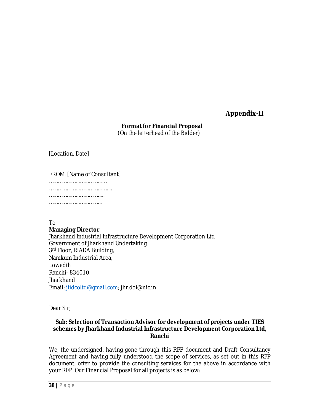## **Appendix-H**

## **Format for Financial Proposal**

(On the letterhead of the Bidder)

[Location, Date]

FROM: [Name of Consultant]

……………………………………… ……………………………………. ………………………………………… ………………………………

To

## **Managing Director**

Jharkhand Industrial Infrastructure Development Corporation Ltd Government of Jharkhand Undertaking 3rd Floor, RIADA Building, Namkum Industrial Area, Lowadih Ranchi- 834010. **Jharkhand** Email: jiidcoltd@gmail.com; jhr.doi@nic.in

Dear Sir,

## **Sub: Selection of Transaction Advisor for development of projects under TIES schemes by Jharkhand Industrial Infrastructure Development Corporation Ltd, Ranchi**

We, the undersigned, having gone through this RFP document and Draft Consultancy Agreement and having fully understood the scope of services, as set out in this RFP document, offer to provide the consulting services for the above in accordance with your RFP. Our Financial Proposal for all projects is as below: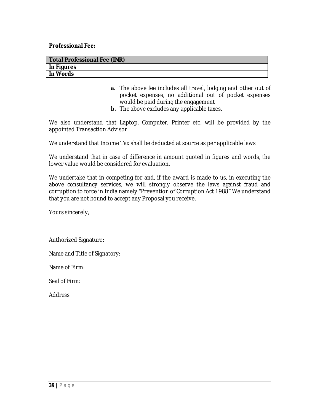**Professional Fee:**

| <b>Total Professional Fee (INR)</b> |  |  |  |
|-------------------------------------|--|--|--|
| In Figures                          |  |  |  |
| In Words                            |  |  |  |

- **a.** The above fee includes all travel, lodging and other out of pocket expenses, no additional out of pocket expenses would be paid during the engagement
- **b.** The above excludes any applicable taxes.

We also understand that Laptop, Computer, Printer etc. will be provided by the appointed Transaction Advisor

We understand that Income Tax shall be deducted at source as per applicable laws

We understand that in case of difference in amount quoted in figures and words, the lower value would be considered for evaluation.

We undertake that in competing for and, if the award is made to us, in executing the above consultancy services, we will strongly observe the laws against fraud and corruption to force in India namely "Prevention of Corruption Act 1988" We understand that you are not bound to accept any Proposal you receive.

Yours sincerely,

Authorized Signature:

Name and Title of Signatory:

Name of Firm:

Seal of Firm:

Address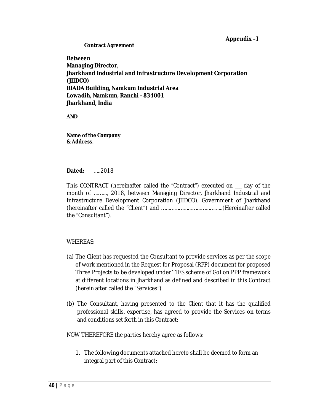#### **Appendix –I**

**Contract Agreement**

**Between Managing Director, Jharkhand Industrial and Infrastructure Development Corporation (JIIDCO) RIADA Building, Namkum Industrial Area Lowadih, Namkum, Ranchi - 834001 Jharkhand, India**

**AND**

**Name of the Company & Address.**

#### **Dated:** \_\_\_ …..2018

This CONTRACT (hereinafter called the "Contract") executed on \_\_\_ day of the month of ………, 2018, between Managing Director, Jharkhand Industrial and Infrastructure Development Corporation (JIIDCO), Government of Jharkhand (hereinafter called the "Client") and ……………………………….…..(Hereinafter called the "Consultant").

## WHEREAS:

- (a) The Client has requested the Consultant to provide services as per the scope of work mentioned in the Request for Proposal (RFP) document for proposed Three Projects to be developed under TIES scheme of GoI on PPP framework at different locations in Jharkhand as defined and described in this Contract (herein after called the "Services")
- (b) The Consultant, having presented to the Client that it has the qualified professional skills, expertise, has agreed to provide the Services on terms and conditions set forth in this Contract;

NOW THEREFORE the parties hereby agree as follows:

1. The following documents attached hereto shall be deemed to form an integral part of this Contract: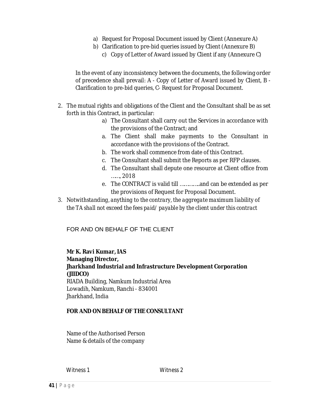- a) Request for Proposal Document issued by Client (Annexure A)
- b) Clarification to pre-bid queries issued by Client (Annexure B)
	- c) Copy of Letter of Award issued by Client if any (Annexure C)

In the event of any inconsistency between the documents, the following order of precedence shall prevail: A - Copy of Letter of Award issued by Client, B - Clarification to pre-bid queries, C- Request for Proposal Document.

- 2. The mutual rights and obligations of the Client and the Consultant shall be as set forth in this Contract, in particular:
	- a) The Consultant shall carry out the Services in accordance with the provisions of the Contract; and
	- a. The Client shall make payments to the Consultant in accordance with the provisions of the Contract.
	- b. The work shall commence from date of this Contract.
	- c. The Consultant shall submit the Reports as per RFP clauses.
	- d. The Consultant shall depute one resource at Client office from ……, 2018
	- e. The CONTRACT is valid till …………..and can be extended as per the provisions of Request for Proposal Document.
- *3. Notwithstanding, anything to the contrary, the aggregate maximum liability of the TA shall not exceed the fees paid/ payable by the client under this contract*

## FOR AND ON BEHALF OF THE CLIENT

## **Mr K. Ravi Kumar, IAS Managing Director, Jharkhand Industrial and Infrastructure Development Corporation (JIIDCO)** RIADA Building, Namkum Industrial Area Lowadih, Namkum, Ranchi - 834001 Jharkhand, India

## **FOR AND ON BEHALF OF THE CONSULTANT**

Name of the Authorised Person Name & details of the company

Witness 1 Witness 2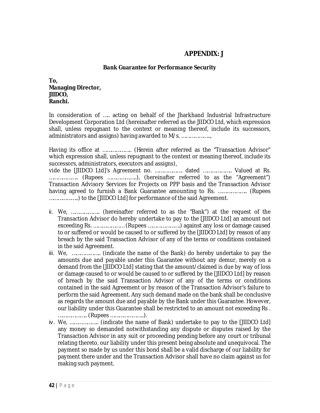## **APPENDIX: J**

#### **Bank Guarantee for Performance Security**

**To, Managing Director, JIIDCO, Ranchi.**

In consideration of ….. acting on behalf of the Jharkhand Industrial Infrastructure Development Corporation Ltd (hereinafter referred as the JIIDCO Ltd, which expression shall, unless repugnant to the context or meaning thereof, include its successors, administrators and assigns) having awarded to M/s. ………………..,

Having its office at ……………….. (Herein after referred as the "Transaction Advisor" which expression shall, unless repugnant to the context or meaning thereof, include its successors, administrators, executors and assigns),

vide the [JIIDCO Ltd]'s Agreement no. ………………. dated ……………….. Valued at Rs. ……………….. (Rupees ………………..), (hereinafter referred to as the "Agreement") Transaction Advisory Services for Projects on PPP basis and the Transaction Advisor having agreed to furnish a Bank Guarantee amounting to Rs. ……………….. (Rupees ………………..) to the [JIIDCO Ltd] for performance of the said Agreement.

- ii. We, ……………….. (hereinafter referred to as the "Bank") at the request of the Transaction Advisor do hereby undertake to pay to the [JIIDCO Ltd] an amount not exceeding Rs. ………………… (Rupees ………………….) against any loss or damage caused to or suffered or would be caused to or suffered by the [JIIDCO Ltd] by reason of any breach by the said Transaction Advisor of any of the terms or conditions contained in the said Agreement.
- iii. We, ……………….. (indicate the name of the Bank) do hereby undertake to pay the amounts due and payable under this Guarantee without any demur, merely on a demand from the [JIIDCO Ltd] stating that the amount/claimed is due by way of loss or damage caused to or would be caused to or suffered by the [JIIDCO Ltd] by reason of breach by the said Transaction Advisor of any of the terms or conditions contained in the said Agreement or by reason of the Transaction Advisor's failure to perform the said Agreement. Any such demand made on the bank shall be conclusive as regards the amount due and payable by the Bank under this Guarantee. However, our liability under this Guarantee shall be restricted to an amount not exceeding Rs . ……………….. (Rupees …………………..).
- iv. We, ……………….. (indicate the name of Bank) undertake to pay to the [JIIDCO Ltd] any money so demanded notwithstanding any dispute or disputes raised by the Transaction Advisor in any suit or proceeding pending before any court or tribunal relating thereto, our liability under this present being absolute and unequivocal. The payment so made by us under this bond shall be a valid discharge of our liability for payment there under and the Transaction Advisor shall have no claim against us for making such payment.